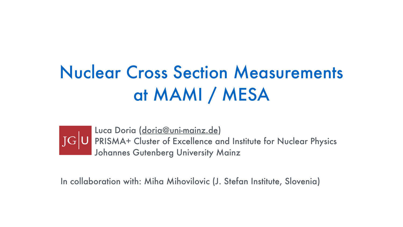# Nuclear Cross Section Measurements at MAMI / MESA

Luca Doria ([doria@uni-mainz.de\)](mailto:doria@uni-mainz.de) PRISMA+ Cluster of Excellence and Institute for Nuclear Physics Johannes Gutenberg University Mainz

In collaboration with: Miha Mihovilovic (J. Stefan Institute, Slovenia)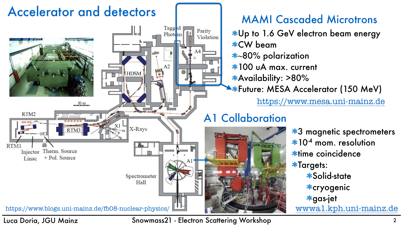#### Luca Doria, JGU Mainz Snowmass21 - Electron Scattering Workshop <sup>2</sup>

Parity

Violation

#### MAMI Cascaded Microtrons

Up to 1.6 GeV electron beam energy CW beam

- **~**80% polarization
- 100 uA max. current
- Availability: >80%

**\*Future: MESA Accelerator (150 MeV)** 

**\*3 magnetic spectrometers** \*10<sup>-4</sup> mom. resolution \*time coincidence **\*Targets:** Solid-state cryogenic gas-jet [wwwa1.kph.uni-mainz.de](http://wwwa1.kph.uni-mainz.de)









<https://www.mesa.uni-mainz.de>



### A1 Collaboration